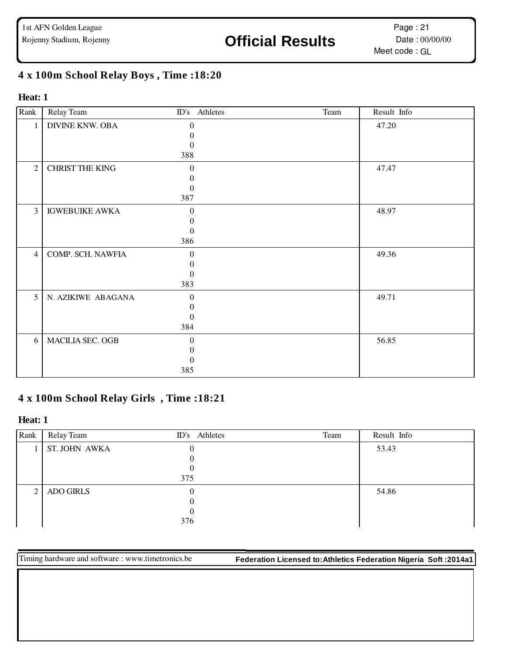# Rojenny Stadium, Rojenny **Constant Constant Constant Constant Constant Constant Constant Constant Constant Constant Constant Constant Constant Constant Constant Constant Constant Constant Constant Constant Constant Constan**

### **4 x 100m School Relay Boys , Time :18:20**

### **Heat: 1**

| Rank           | Relay Team            | ID's Athletes     | Team | Result Info |
|----------------|-----------------------|-------------------|------|-------------|
| 1              | DIVINE KNW. OBA       | $\Omega$          |      | 47.20       |
|                |                       |                   |      |             |
|                |                       | $\Omega$          |      |             |
|                |                       | 388               |      |             |
| $\overline{2}$ | CHRIST THE KING       | $\Omega$          |      | 47.47       |
|                |                       | 0                 |      |             |
|                |                       | $\Omega$          |      |             |
|                |                       | 387               |      |             |
| $\overline{3}$ | <b>IGWEBUIKE AWKA</b> | $\Omega$          |      | 48.97       |
|                |                       | $\mathbf{\Omega}$ |      |             |
|                |                       | $\theta$          |      |             |
|                |                       | 386               |      |             |
| $\overline{4}$ | COMP. SCH. NAWFIA     | $\Omega$          |      | 49.36       |
|                |                       | $\mathbf{\Omega}$ |      |             |
|                |                       | $\Omega$          |      |             |
|                |                       | 383               |      |             |
| 5              | N. AZIKIWE ABAGANA    | $\Omega$          |      | 49.71       |
|                |                       | $\mathbf{\Omega}$ |      |             |
|                |                       | $\Omega$          |      |             |
|                |                       | 384               |      |             |
| 6              | MACILIA SEC. OGB      | $\Omega$          |      | 56.85       |
|                |                       |                   |      |             |
|                |                       | 0                 |      |             |
|                |                       | 385               |      |             |

### **4 x 100m School Relay Girls , Time :18:21**

### **Heat: 1**

| Rank      | Relay Team       | ID's Athletes | Team | Result Info |  |
|-----------|------------------|---------------|------|-------------|--|
|           | ST. JOHN AWKA    | O             |      | 53.43       |  |
|           |                  |               |      |             |  |
|           |                  | O             |      |             |  |
|           |                  | 375           |      |             |  |
| $2 \cdot$ | <b>ADO GIRLS</b> |               |      | 54.86       |  |
|           |                  | O             |      |             |  |
|           |                  | 0             |      |             |  |
|           |                  | 376           |      |             |  |

Timing hardware and software : www.timetronics.be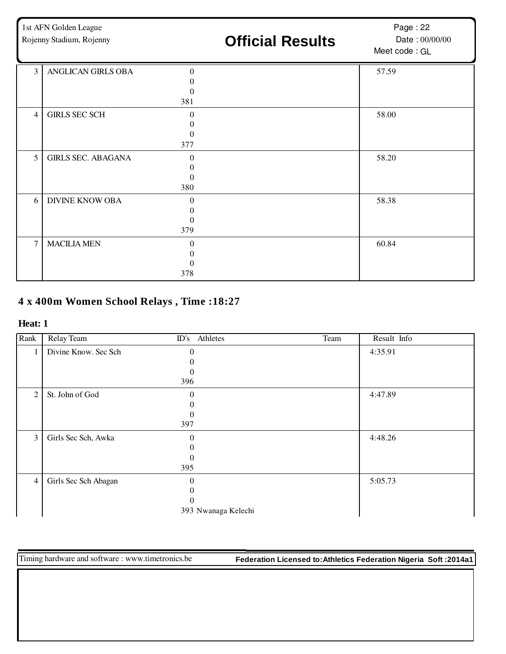1st AFN Golden League Rojenny Stadium, Rojenny **Constant Constant Constant Constant Constant Constant Constant Constant Constant Constant Constant Constant Constant Constant Constant Constant Constant Constant Constant Constant Constant Constan** 3 ANGLICAN GIRLS OBA 0 57.59 4 GIRLS SEC SCH 0 58.00 5 GIRLS SEC. ABAGANA 0 58.20 6 DIVINE KNOW OBA 0 58.38 7 | MACILIA MEN 0 60.84 Page : 22 Meet code : GL Date: 00/00/00

### **4 x 400m Women School Relays , Time :18:27**

#### **Heat: 1**

| Rank           | Relay Team           | ID's Athletes       | Team | Result Info |
|----------------|----------------------|---------------------|------|-------------|
| 1              | Divine Know. Sec Sch | 0                   |      | 4:35.91     |
|                |                      |                     |      |             |
|                |                      | 0                   |      |             |
|                |                      | 396                 |      |             |
| $\overline{2}$ | St. John of God      | $\Omega$            |      | 4:47.89     |
|                |                      |                     |      |             |
|                |                      | 0                   |      |             |
|                |                      | 397                 |      |             |
| 3              | Girls Sec Sch, Awka  | $\Omega$            |      | 4:48.26     |
|                |                      |                     |      |             |
|                |                      | 0                   |      |             |
|                |                      | 395                 |      |             |
| $\overline{4}$ | Girls Sec Sch Abagan | $\theta$            |      | 5:05.73     |
|                |                      | 0                   |      |             |
|                |                      | 0                   |      |             |
|                |                      | 393 Nwanaga Kelechi |      |             |

Timing hardware and software : www.timetronics.be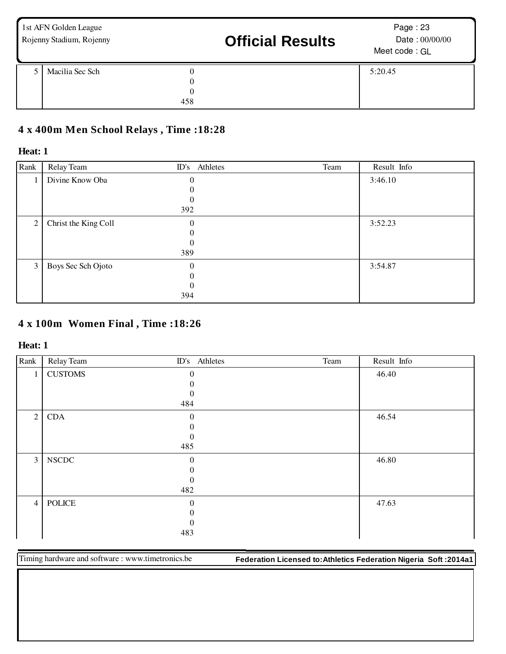| 1st AFN Golden League<br>Rojenny Stadium, Rojenny |                 |                    | <b>Official Results</b> | Page: 23<br>Date: 00/00/00<br>Meet code: GL |
|---------------------------------------------------|-----------------|--------------------|-------------------------|---------------------------------------------|
|                                                   | Macilia Sec Sch | U<br>0<br>0<br>458 |                         | 5:20.45                                     |

# **4 x 400m Men School Relays , Time :18:28**

### **Heat: 1**

| Rank           | Relay Team           | Athletes<br>ID's | Team | Result Info |
|----------------|----------------------|------------------|------|-------------|
| 1              | Divine Know Oba      | 0                |      | 3:46.10     |
|                |                      |                  |      |             |
|                |                      |                  |      |             |
|                |                      | 392              |      |             |
| 2              | Christ the King Coll | 0                |      | 3:52.23     |
|                |                      | 0                |      |             |
|                |                      |                  |      |             |
|                |                      | 389              |      |             |
| $\mathfrak{Z}$ | Boys Sec Sch Ojoto   | 0                |      | 3:54.87     |
|                |                      |                  |      |             |
|                |                      |                  |      |             |
|                |                      | 394              |      |             |

## **4 x 100m Women Final , Time :18:26**

### **Heat: 1**

| Rank           | Relay Team     | ID's Athletes  | Team | Result Info |
|----------------|----------------|----------------|------|-------------|
| $\mathbf{1}$   | <b>CUSTOMS</b> | $\theta$       |      | 46.40       |
|                |                | $\Omega$       |      |             |
|                |                | $\Omega$       |      |             |
|                |                | 484            |      |             |
| $\overline{2}$ | CDA            | $\theta$       |      | 46.54       |
|                |                | $\Omega$       |      |             |
|                |                | $\Omega$       |      |             |
|                |                | 485            |      |             |
| 3              | ${\rm NSCDC}$  | $\overline{0}$ |      | 46.80       |
|                |                | $\theta$       |      |             |
|                |                | $\theta$       |      |             |
|                |                | 482            |      |             |
| $\overline{4}$ | <b>POLICE</b>  | $\theta$       |      | 47.63       |
|                |                | $\theta$       |      |             |
|                |                | $\Omega$       |      |             |
|                |                | 483            |      |             |

Timing hardware and software : www.timetronics.be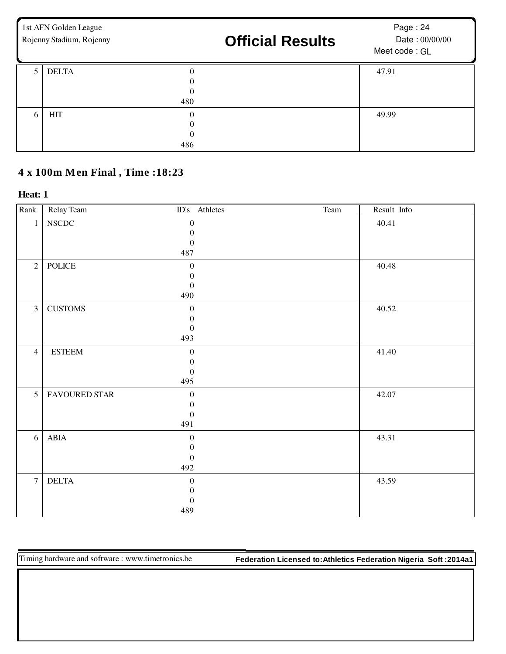| 1st AFN Golden League<br>Rojenny Stadium, Rojenny |              |                                         | <b>Official Results</b> | Page: 24<br>Date: 00/00/00<br>Meet code: GL |
|---------------------------------------------------|--------------|-----------------------------------------|-------------------------|---------------------------------------------|
|                                                   | <b>DELTA</b> | 0<br>$\Omega$<br>$\Omega$<br>480        |                         | 47.91                                       |
| 6                                                 | <b>HIT</b>   | $\Omega$<br>$\Omega$<br>$\Omega$<br>486 |                         | 49.99                                       |

## **4 x 100m Men Final , Time :18:23**

### **Heat: 1**

| Rank           | Relay Team                      | ID's Athletes    | Team | Result Info |
|----------------|---------------------------------|------------------|------|-------------|
| $\mathbf{1}$   | ${\rm NSCDC}$                   | $\boldsymbol{0}$ |      | 40.41       |
|                |                                 | $\Omega$         |      |             |
|                |                                 | $\boldsymbol{0}$ |      |             |
|                |                                 | 487              |      |             |
| $\overline{2}$ | $\operatorname{POLICE}$         | $\mathbf{0}$     |      | 40.48       |
|                |                                 | $\theta$         |      |             |
|                |                                 | $\mathbf{0}$     |      |             |
|                |                                 | 490              |      |             |
| $\mathfrak{Z}$ | $\ensuremath{\mathsf{CUSTOMS}}$ | $\boldsymbol{0}$ |      | 40.52       |
|                |                                 | $\overline{0}$   |      |             |
|                |                                 | $\mathbf{0}$     |      |             |
|                |                                 | 493              |      |             |
| $\overline{4}$ | $\ensuremath{\mathsf{ESTEEM}}$  | $\mathbf{0}$     |      | 41.40       |
|                |                                 | $\Omega$         |      |             |
|                |                                 | $\theta$         |      |             |
|                |                                 | 495              |      |             |
| 5 <sup>5</sup> | FAVOURED STAR                   | $\mathbf{0}$     |      | 42.07       |
|                |                                 | $\boldsymbol{0}$ |      |             |
|                |                                 | $\overline{0}$   |      |             |
|                |                                 | 491              |      |             |
| 6              | ${\bf A}{\bf B}{\bf I}{\bf A}$  | $\mathbf{0}$     |      | 43.31       |
|                |                                 | $\Omega$         |      |             |
|                |                                 | $\boldsymbol{0}$ |      |             |
|                |                                 | 492              |      |             |
| $\overline{7}$ | <b>DELTA</b>                    | $\mathbf{0}$     |      | 43.59       |
|                |                                 | $\Omega$         |      |             |
|                |                                 | $\theta$         |      |             |
|                |                                 | 489              |      |             |

Timing hardware and software : www.timetronics.be